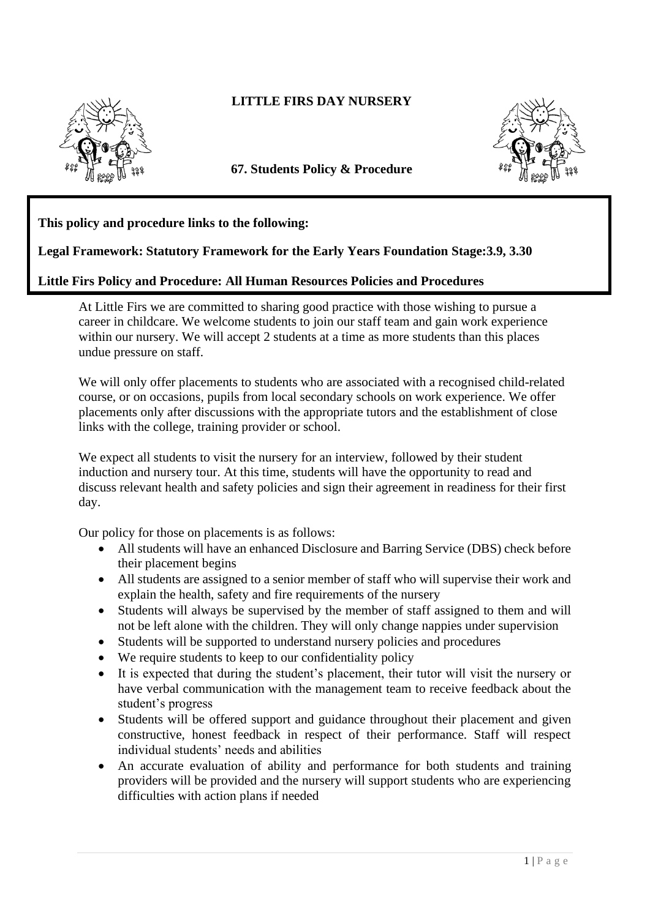

## **LITTLE FIRS DAY NURSERY**

**67. Students Policy & Procedure** 



## **This policy and procedure links to the following:**

## **Legal Framework: Statutory Framework for the Early Years Foundation Stage:3.9, 3.30**

## **Little Firs Policy and Procedure: All Human Resources Policies and Procedures**

At Little Firs we are committed to sharing good practice with those wishing to pursue a career in childcare. We welcome students to join our staff team and gain work experience within our nursery. We will accept 2 students at a time as more students than this places undue pressure on staff.

We will only offer placements to students who are associated with a recognised child-related course, or on occasions, pupils from local secondary schools on work experience. We offer placements only after discussions with the appropriate tutors and the establishment of close links with the college, training provider or school.

We expect all students to visit the nursery for an interview, followed by their student induction and nursery tour. At this time, students will have the opportunity to read and discuss relevant health and safety policies and sign their agreement in readiness for their first day.

Our policy for those on placements is as follows:

- All students will have an enhanced Disclosure and Barring Service (DBS) check before their placement begins
- All students are assigned to a senior member of staff who will supervise their work and explain the health, safety and fire requirements of the nursery
- Students will always be supervised by the member of staff assigned to them and will not be left alone with the children. They will only change nappies under supervision
- Students will be supported to understand nursery policies and procedures
- We require students to keep to our confidentiality policy
- It is expected that during the student's placement, their tutor will visit the nursery or have verbal communication with the management team to receive feedback about the student's progress
- Students will be offered support and guidance throughout their placement and given constructive, honest feedback in respect of their performance. Staff will respect individual students' needs and abilities
- An accurate evaluation of ability and performance for both students and training providers will be provided and the nursery will support students who are experiencing difficulties with action plans if needed